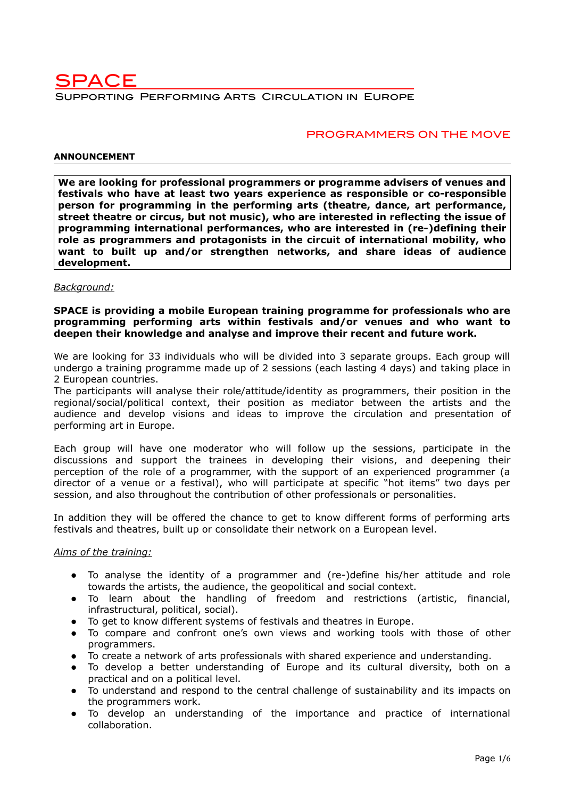

### PROGRAMMERS ON THE MOVE

#### **ANNOUNCEMENT**

**We are looking for professional programmers or programme advisers of venues and festivals who have at least two years experience as responsible or co-responsible person for programming in the performing arts (theatre, dance, art performance, street theatre or circus, but not music), who are interested in reflecting the issue of programming international performances, who are interested in (re-)defining their role as programmers and protagonists in the circuit of international mobility, who want to built up and/or strengthen networks, and share ideas of audience development.** 

#### *Background:*

#### **SPACE is providing a mobile European training programme for professionals who are programming performing arts within festivals and/or venues and who want to deepen their knowledge and analyse and improve their recent and future work.**

We are looking for 33 individuals who will be divided into 3 separate groups. Each group will undergo a training programme made up of 2 sessions (each lasting 4 days) and taking place in 2 European countries.

The participants will analyse their role/attitude/identity as programmers, their position in the regional/social/political context, their position as mediator between the artists and the audience and develop visions and ideas to improve the circulation and presentation of performing art in Europe.

Each group will have one moderator who will follow up the sessions, participate in the discussions and support the trainees in developing their visions, and deepening their perception of the role of a programmer, with the support of an experienced programmer (a director of a venue or a festival), who will participate at specific "hot items" two days per session, and also throughout the contribution of other professionals or personalities.

In addition they will be offered the chance to get to know different forms of performing arts festivals and theatres, built up or consolidate their network on a European level.

#### *Aims of the training:*

- To analyse the identity of a programmer and (re-)define his/her attitude and role towards the artists, the audience, the geopolitical and social context.
- To learn about the handling of freedom and restrictions (artistic, financial, infrastructural, political, social).
- To get to know different systems of festivals and theatres in Europe.
- To compare and confront one's own views and working tools with those of other programmers.
- To create a network of arts professionals with shared experience and understanding.
- To develop a better understanding of Europe and its cultural diversity, both on a practical and on a political level.
- To understand and respond to the central challenge of sustainability and its impacts on the programmers work.
- To develop an understanding of the importance and practice of international collaboration.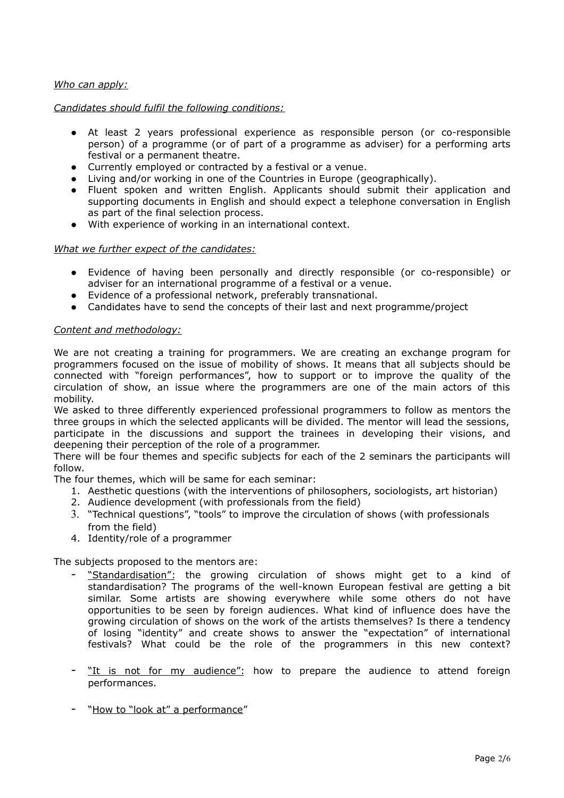### *Who can apply:*

### *Candidates should fulfil the following conditions:*

- At least 2 years professional experience as responsible person (or co-responsible person) of a programme (or of part of a programme as adviser) for a performing arts festival or a permanent theatre.
- Currently employed or contracted by a festival or a venue.
- Living and/or working in one of the Countries in Europe (geographically).
- Fluent spoken and written English. Applicants should submit their application and supporting documents in English and should expect a telephone conversation in English as part of the final selection process.
- With experience of working in an international context.

### *What we further expect of the candidates:*

- Evidence of having been personally and directly responsible (or co-responsible) or adviser for an international programme of a festival or a venue.
- Evidence of a professional network, preferably transnational.
- Candidates have to send the concepts of their last and next programme/project

### *Content and methodology:*

We are not creating a training for programmers. We are creating an exchange program for programmers focused on the issue of mobility of shows. It means that all subjects should be connected with "foreign performances", how to support or to improve the quality of the circulation of show, an issue where the programmers are one of the main actors of this mobility.

We asked to three differently experienced professional programmers to follow as mentors the three groups in which the selected applicants will be divided. The mentor will lead the sessions, participate in the discussions and support the trainees in developing their visions, and deepening their perception of the role of a programmer.

There will be four themes and specific subjects for each of the 2 seminars the participants will follow.

The four themes, which will be same for each seminar:

- 1. Aesthetic questions (with the interventions of philosophers, sociologists, art historian)
- 2. Audience development (with professionals from the field)
- 3. "Technical questions", "tools" to improve the circulation of shows (with professionals from the field)
- 4. Identity/role of a programmer

The subjects proposed to the mentors are:

- "Standardisation": the growing circulation of shows might get to a kind of standardisation? The programs of the well-known European festival are getting a bit similar. Some artists are showing everywhere while some others do not have opportunities to be seen by foreign audiences. What kind of influence does have the growing circulation of shows on the work of the artists themselves? Is there a tendency of losing "identity" and create shows to answer the "expectation" of international festivals? What could be the role of the programmers in this new context?
- "It is not for my audience": how to prepare the audience to attend foreign performances.
- "How to "look at" a performance"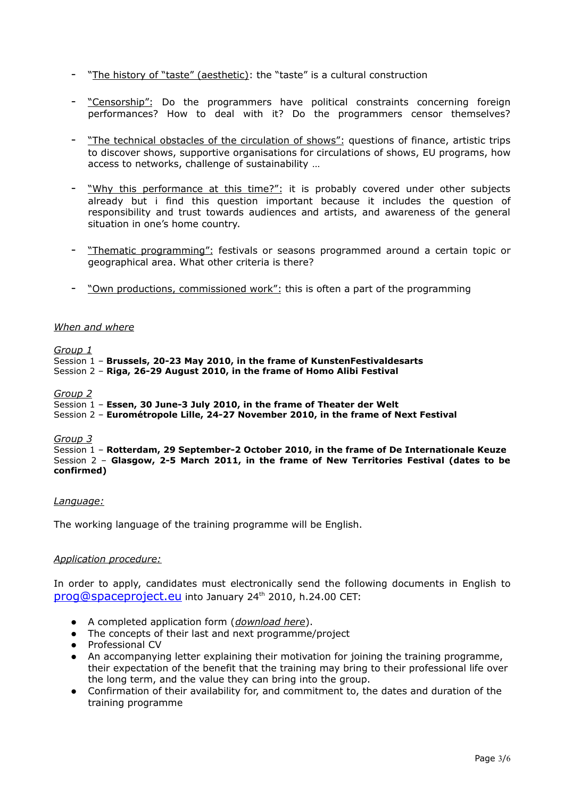- "The history of "taste" (aesthetic): the "taste" is a cultural construction
- "Censorship": Do the programmers have political constraints concerning foreign performances? How to deal with it? Do the programmers censor themselves?
- "The technical obstacles of the circulation of shows": questions of finance, artistic trips to discover shows, supportive organisations for circulations of shows, EU programs, how access to networks, challenge of sustainability …
- "Why this performance at this time?": it is probably covered under other subjects already but i find this question important because it includes the question of responsibility and trust towards audiences and artists, and awareness of the general situation in one's home country.
- "Thematic programming": festivals or seasons programmed around a certain topic or geographical area. What other criteria is there?
- " Own productions, commissioned work": this is often a part of the programming

#### *When and where*

*Group 1*

Session 1 – **Brussels, 20-23 May 2010, in the frame of KunstenFestivaldesarts** Session 2 – **Riga, 26-29 August 2010, in the frame of Homo Alibi Festival**

#### *Group 2*

Session 1 – **Essen, 30 June-3 July 2010, in the frame of Theater der Welt**

Session 2 – **Eurométropole Lille, 24-27 November 2010, in the frame of Next Festival**

#### *Group 3*

Session 1 – **Rotterdam, 29 September-2 October 2010, in the frame of De Internationale Keuze** Session 2 – **Glasgow, 2-5 March 2011, in the frame of New Territories Festival (dates to be confirmed)**

#### *Language:*

The working language of the training programme will be English.

### *Application procedure:*

In order to apply, candidates must electronically send the following documents in English to [prog@spaceproject.eu](mailto:prog@spaceproject.eu) into January 24<sup>th</sup> 2010, h.24.00 CET:

- A completed application form (*download here*).
- The concepts of their last and next programme/project
- Professional CV
- An accompanying letter explaining their motivation for joining the training programme, their expectation of the benefit that the training may bring to their professional life over the long term, and the value they can bring into the group.
- Confirmation of their availability for, and commitment to, the dates and duration of the training programme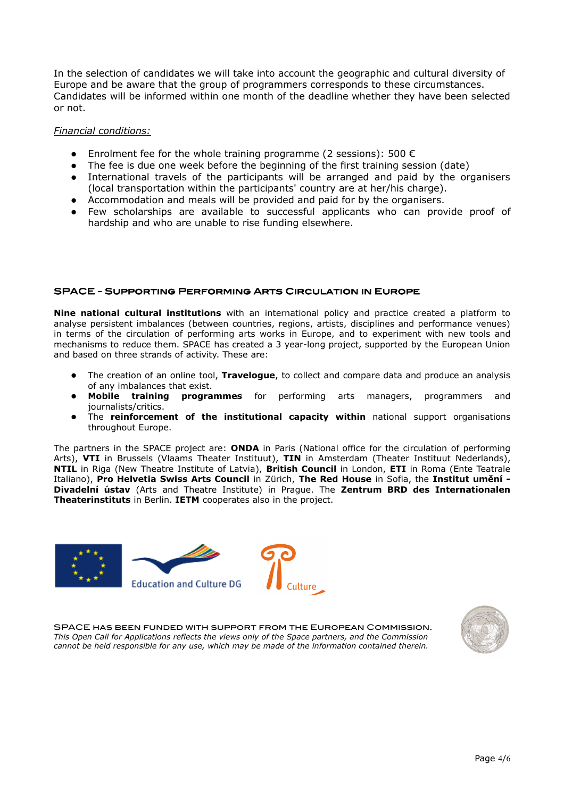In the selection of candidates we will take into account the geographic and cultural diversity of Europe and be aware that the group of programmers corresponds to these circumstances. Candidates will be informed within one month of the deadline whether they have been selected or not.

### *Financial conditions:*

- **•** Enrolment fee for the whole training programme (2 sessions): 500  $\epsilon$
- The fee is due one week before the beginning of the first training session (date)
- International travels of the participants will be arranged and paid by the organisers (local transportation within the participants' country are at her/his charge).
- Accommodation and meals will be provided and paid for by the organisers.
- Few scholarships are available to successful applicants who can provide proof of hardship and who are unable to rise funding elsewhere.

### SPACE - Supporting Performing Arts Circulation in Europe

**Nine national cultural institutions** with an international policy and practice created a platform to analyse persistent imbalances (between countries, regions, artists, disciplines and performance venues) in terms of the circulation of performing arts works in Europe, and to experiment with new tools and mechanisms to reduce them. SPACE has created a 3 year-long project, supported by the European Union and based on three strands of activity. These are:

- The creation of an online tool, **Travelogue**, to collect and compare data and produce an analysis of any imbalances that exist.
- **Mobile training programmes** for performing arts managers, programmers and journalists/critics.
- The **reinforcement of the institutional capacity within** national support organisations throughout Europe.

The partners in the SPACE project are: **ONDA** in Paris (National office for the circulation of performing Arts), **VTI** in Brussels (Vlaams Theater Instituut), **TIN** in Amsterdam (Theater Instituut Nederlands), **NTIL** in Riga (New Theatre Institute of Latvia), **British Council** in London, **ETI** in Roma (Ente Teatrale Italiano), **Pro Helvetia Swiss Arts Council** in Zürich, **The Red House** in Sofia, the **Institut umění - Divadelní ústav** (Arts and Theatre Institute) in Prague. The **Zentrum BRD des Internationalen Theaterinstituts** in Berlin. **IETM** cooperates also in the project.



SPACE has been funded with support from the European Commission. *This Open Call for Applications reflects the views only of the Space partners, and the Commission cannot be held responsible for any use, which may be made of the information contained therein.*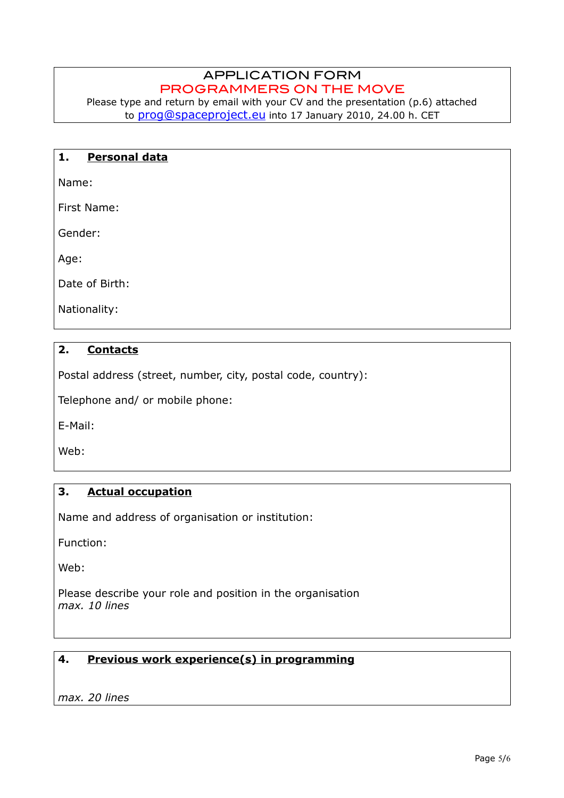# APPLICATION FORM PROGRAMMERS ON THE MOVE

Please type and return by email with your CV and the presentation (p.6) attached to [prog@spaceproject.eu](mailto:prog@spaceproject.eu) into 17 January 2010, 24.00 h. CET

# **1. Personal data**

Name:

First Name:

Gender:

Age:

Date of Birth:

Nationality:

# **2. Contacts**

Postal address (street, number, city, postal code, country):

Telephone and/ or mobile phone:

E-Mail:

Web:

## **3. Actual occupation**

Name and address of organisation or institution:

Function:

Web:

Please describe your role and position in the organisation *max. 10 lines*

# **4. Previous work experience(s) in programming**

*max. 20 lines*